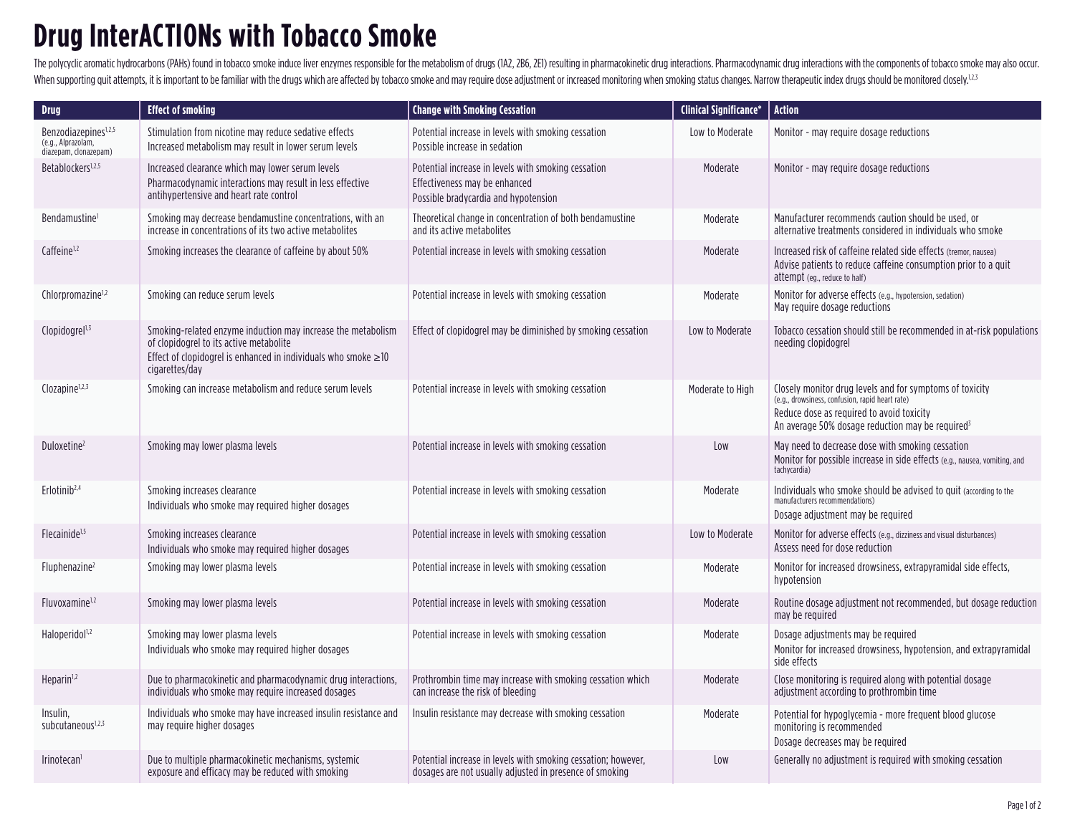## **Drug InterACTIONs with Tobacco Smoke**

The polycyclic aromatic hydrocarbons (PAHs) found in tobacco smoke induce liver enzymes responsible for the metabolism of drugs (1A2, 2B6, 2E1) resulting in pharmacokinetic drug interactions. Pharmacodynamic drug interacti When supporting quit attempts, it is important to be familiar with the drugs which are affected by tobacco smoke and may require dose adjustment or increased monitoring when smoking status changes. Narrow therapeutic index

| <b>Drug</b>                                                                     | <b>Effect of smoking</b>                                                                                                                                                                          | <b>Change with Smoking Cessation</b>                                                                                         | <b>Clinical Significance*</b> | <b>Action</b>                                                                                                                                                                                                            |
|---------------------------------------------------------------------------------|---------------------------------------------------------------------------------------------------------------------------------------------------------------------------------------------------|------------------------------------------------------------------------------------------------------------------------------|-------------------------------|--------------------------------------------------------------------------------------------------------------------------------------------------------------------------------------------------------------------------|
| Benzodiazepines <sup>1,2,5</sup><br>(e.g., Alprazolam,<br>diazepam, clonazepam) | Stimulation from nicotine may reduce sedative effects<br>Increased metabolism may result in lower serum levels                                                                                    | Potential increase in levels with smoking cessation<br>Possible increase in sedation                                         | Low to Moderate               | Monitor - may require dosage reductions                                                                                                                                                                                  |
| Betablockers <sup>1,2,5</sup>                                                   | Increased clearance which may lower serum levels<br>Pharmacodynamic interactions may result in less effective<br>antihvpertensive and heart rate control                                          | Potential increase in levels with smoking cessation<br>Effectiveness may be enhanced<br>Possible bradycardia and hypotension | Moderate                      | Monitor - may require dosage reductions                                                                                                                                                                                  |
| Bendamustine <sup>1</sup>                                                       | Smoking may decrease bendamustine concentrations, with an<br>increase in concentrations of its two active metabolites                                                                             | Theoretical change in concentration of both bendamustine<br>and its active metabolites                                       | Moderate                      | Manufacturer recommends caution should be used, or<br>alternative treatments considered in individuals who smoke                                                                                                         |
| Caffeine <sup>1,2</sup>                                                         | Smoking increases the clearance of caffeine by about 50%                                                                                                                                          | Potential increase in levels with smoking cessation                                                                          | Moderate                      | Increased risk of caffeine related side effects (tremor, nausea)<br>Advise patients to reduce caffeine consumption prior to a quit<br>attempt (eq., reduce to half)                                                      |
| Chlorpromazine <sup>1,2</sup>                                                   | Smoking can reduce serum levels                                                                                                                                                                   | Potential increase in levels with smoking cessation                                                                          | Moderate                      | Monitor for adverse effects (e.g., hypotension, sedation)<br>May require dosage reductions                                                                                                                               |
| Clopidogrel <sup>1,3</sup>                                                      | Smoking-related enzyme induction may increase the metabolism<br>of clopidogrel to its active metabolite<br>Effect of clopidogrel is enhanced in individuals who smoke $\geq$ 10<br>cigarettes/day | Effect of clopidogrel may be diminished by smoking cessation                                                                 | Low to Moderate               | Tobacco cessation should still be recommended in at-risk populations<br>needing clopidogrel                                                                                                                              |
| Clozapine <sup>1,2,3</sup>                                                      | Smoking can increase metabolism and reduce serum levels                                                                                                                                           | Potential increase in levels with smoking cessation                                                                          | Moderate to High              | Closely monitor drug levels and for symptoms of toxicity<br>(e.g., drowsiness, confusion, rapid heart rate)<br>Reduce dose as required to avoid toxicity<br>An average 50% dosage reduction may be required <sup>3</sup> |
| Duloxetine <sup>2</sup>                                                         | Smoking may lower plasma levels                                                                                                                                                                   | Potential increase in levels with smoking cessation                                                                          | Low                           | May need to decrease dose with smoking cessation<br>Monitor for possible increase in side effects (e.g., nausea, vomiting, and<br>tachycardia)                                                                           |
| Erlotinib <sup>2,4</sup>                                                        | Smoking increases clearance<br>Individuals who smoke may required higher dosages                                                                                                                  | Potential increase in levels with smoking cessation                                                                          | Moderate                      | Individuals who smoke should be advised to quit (according to the<br>manufacturers recommendations)<br>Dosage adjustment may be required                                                                                 |
| Flecainide <sup>1,5</sup>                                                       | Smoking increases clearance<br>Individuals who smoke may required higher dosages                                                                                                                  | Potential increase in levels with smoking cessation                                                                          | Low to Moderate               | Monitor for adverse effects (e.g., dizziness and visual disturbances)<br>Assess need for dose reduction                                                                                                                  |
| Fluphenazine <sup>2</sup>                                                       | Smoking may lower plasma levels                                                                                                                                                                   | Potential increase in levels with smoking cessation                                                                          | Moderate                      | Monitor for increased drowsiness, extrapyramidal side effects,<br>hypotension                                                                                                                                            |
| Fluvoxamine <sup>1,2</sup>                                                      | Smoking may lower plasma levels                                                                                                                                                                   | Potential increase in levels with smoking cessation                                                                          | Moderate                      | Routine dosage adjustment not recommended, but dosage reduction<br>may be required                                                                                                                                       |
| Haloperidol <sup>1,2</sup>                                                      | Smoking may lower plasma levels<br>Individuals who smoke may required higher dosages                                                                                                              | Potential increase in levels with smoking cessation                                                                          | Moderate                      | Dosage adjustments may be required<br>Monitor for increased drowsiness, hypotension, and extrapyramidal<br>side effects                                                                                                  |
| Heparin <sup>1,2</sup>                                                          | Due to pharmacokinetic and pharmacodynamic drug interactions,<br>individuals who smoke may require increased dosages                                                                              | Prothrombin time may increase with smoking cessation which<br>can increase the risk of bleeding                              | Moderate                      | Close monitoring is required along with potential dosage<br>adjustment according to prothrombin time                                                                                                                     |
| Insulin,<br>subcutaneous <sup>1,2,3</sup>                                       | Individuals who smoke may have increased insulin resistance and<br>may require higher dosages                                                                                                     | Insulin resistance may decrease with smoking cessation                                                                       | Moderate                      | Potential for hypoglycemia - more frequent blood glucose<br>monitoring is recommended<br>Dosage decreases may be required                                                                                                |
| Irinotecan <sup>i</sup>                                                         | Due to multiple pharmacokinetic mechanisms, systemic<br>exposure and efficacy may be reduced with smoking                                                                                         | Potential increase in levels with smoking cessation; however,<br>dosages are not usually adjusted in presence of smoking     | Low                           | Generally no adjustment is required with smoking cessation                                                                                                                                                               |